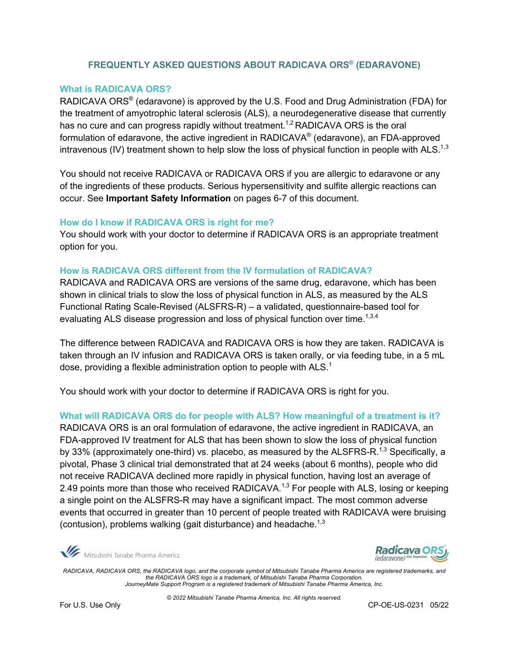# **FREQUENTLY ASKED QUESTIONS ABOUT RADICAVA ORS® (EDARAVONE)**

### **What is RADICAVA ORS?**

RADICAVA ORS® (edaravone) is approved by the U.S. Food and Drug Administration (FDA) for the treatment of amyotrophic lateral sclerosis (ALS), a neurodegenerative disease that currently has no cure and can progress rapidly without treatment.<sup>1,2</sup> RADICAVA ORS is the oral formulation of edaravone, the active ingredient in RADICAVA® (edaravone), an FDA-approved intravenous (IV) treatment shown to help slow the loss of physical function in people with ALS.<sup>1,3</sup>

You should not receive RADICAVA or RADICAVA ORS if you are allergic to edaravone or any of the ingredients of these products. Serious hypersensitivity and sulfite allergic reactions can occur. See **Important Safety Information** on pages 6-7 of this document.

#### **How do I know if RADICAVA ORS is right for me?**

You should work with your doctor to determine if RADICAVA ORS is an appropriate treatment option for you.

#### **How is RADICAVA ORS different from the IV formulation of RADICAVA?**

RADICAVA and RADICAVA ORS are versions of the same drug, edaravone, which has been shown in clinical trials to slow the loss of physical function in ALS, as measured by the ALS Functional Rating Scale-Revised (ALSFRS-R) – a validated, questionnaire-based tool for evaluating ALS disease progression and loss of physical function over time. $^{1,3,4}$ 

The difference between RADICAVA and RADICAVA ORS is how they are taken. RADICAVA is taken through an IV infusion and RADICAVA ORS is taken orally, or via feeding tube, in a 5 mL dose, providing a flexible administration option to people with ALS.<sup>1</sup>

You should work with your doctor to determine if RADICAVA ORS is right for you.

**What will RADICAVA ORS do for people with ALS? How meaningful of a treatment is it?** 

RADICAVA ORS is an oral formulation of edaravone, the active ingredient in RADICAVA, an FDA-approved IV treatment for ALS that has been shown to slow the loss of physical function by 33% (approximately one-third) vs. placebo, as measured by the ALSFRS-R.<sup>1,3</sup> Specifically, a pivotal, Phase 3 clinical trial demonstrated that at 24 weeks (about 6 months), people who did not receive RADICAVA declined more rapidly in physical function, having lost an average of 2.49 points more than those who received RADICAVA.<sup>1,3</sup> For people with ALS, losing or keeping a single point on the ALSFRS-R may have a significant impact. The most common adverse events that occurred in greater than 10 percent of people treated with RADICAVA were bruising (contusion), problems walking (gait disturbance) and headache.<sup>1,3</sup>

Mitsubishi Tanabe Pharma America



*RADICAVA, RADICAVA ORS, the RADICAVA logo, and the corporate symbol of Mitsubishi Tanabe Pharma America are registered trademarks, and the RADICAVA ORS logo is a trademark, of Mitsubishi Tanabe Pharma Corporation. JourneyMate Support Program is a registered trademark of Mitsubishi Tanabe Pharma America, Inc.*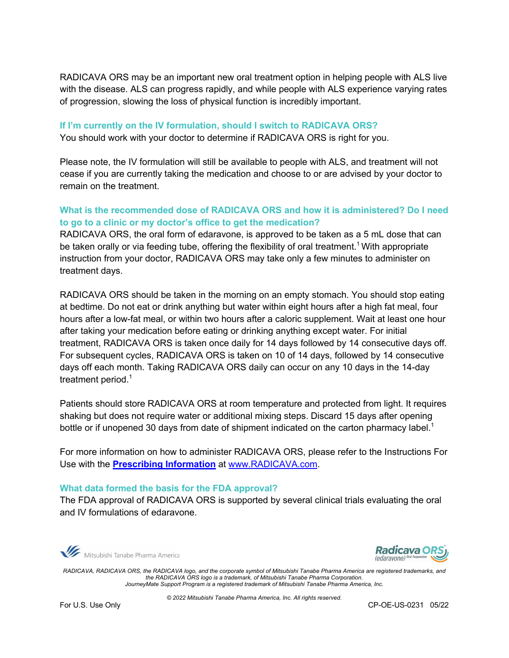RADICAVA ORS may be an important new oral treatment option in helping people with ALS live with the disease. ALS can progress rapidly, and while people with ALS experience varying rates of progression, slowing the loss of physical function is incredibly important.

## **If I'm currently on the IV formulation, should I switch to RADICAVA ORS?** You should work with your doctor to determine if RADICAVA ORS is right for you.

Please note, the IV formulation will still be available to people with ALS, and treatment will not cease if you are currently taking the medication and choose to or are advised by your doctor to remain on the treatment.

# **What is the recommended dose of RADICAVA ORS and how it is administered? Do I need to go to a clinic or my doctor's office to get the medication?**

RADICAVA ORS, the oral form of edaravone, is approved to be taken as a 5 mL dose that can be taken orally or via feeding tube, offering the flexibility of oral treatment.<sup>1</sup> With appropriate instruction from your doctor, RADICAVA ORS may take only a few minutes to administer on treatment days.

RADICAVA ORS should be taken in the morning on an empty stomach. You should stop eating at bedtime. Do not eat or drink anything but water within eight hours after a high fat meal, four hours after a low-fat meal, or within two hours after a caloric supplement. Wait at least one hour after taking your medication before eating or drinking anything except water. For initial treatment, RADICAVA ORS is taken once daily for 14 days followed by 14 consecutive days off. For subsequent cycles, RADICAVA ORS is taken on 10 of 14 days, followed by 14 consecutive days off each month. Taking RADICAVA ORS daily can occur on any 10 days in the 14-day treatment period.<sup>1</sup>

Patients should store RADICAVA ORS at room temperature and protected from light. It requires shaking but does not require water or additional mixing steps. Discard 15 days after opening bottle or if unopened 30 days from date of shipment indicated on the carton pharmacy label.<sup>1</sup>

For more information on how to administer RADICAVA ORS, please refer to the Instructions For Use with the **Prescribing Information** at www.RADICAVA.com.

#### **What data formed the basis for the FDA approval?**

The FDA approval of RADICAVA ORS is supported by several clinical trials evaluating the oral and IV formulations of edaravone.

Mitsubishi Tanabe Pharma America



*RADICAVA, RADICAVA ORS, the RADICAVA logo, and the corporate symbol of Mitsubishi Tanabe Pharma America are registered trademarks, and the RADICAVA ORS logo is a trademark, of Mitsubishi Tanabe Pharma Corporation. JourneyMate Support Program is a registered trademark of Mitsubishi Tanabe Pharma America, Inc.*

*© 2022 Mitsubishi Tanabe Pharma America, Inc. All rights reserved.*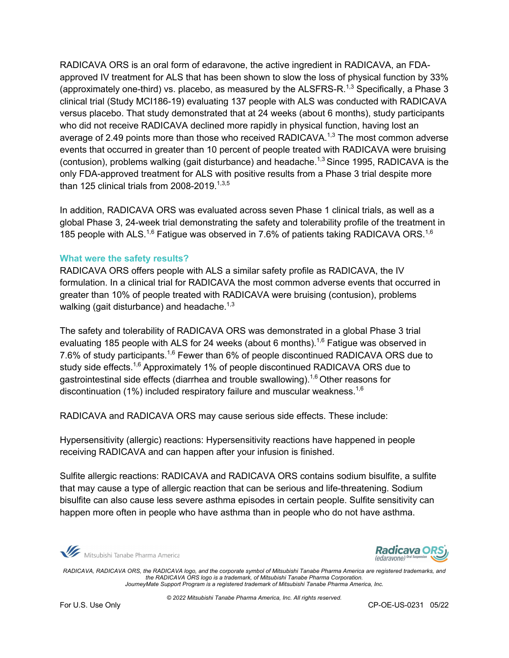RADICAVA ORS is an oral form of edaravone, the active ingredient in RADICAVA, an FDAapproved IV treatment for ALS that has been shown to slow the loss of physical function by 33% (approximately one-third) vs. placebo, as measured by the ALSFRS-R.<sup>1,3</sup> Specifically, a Phase 3 clinical trial (Study MCI186-19) evaluating 137 people with ALS was conducted with RADICAVA versus placebo. That study demonstrated that at 24 weeks (about 6 months), study participants who did not receive RADICAVA declined more rapidly in physical function, having lost an average of 2.49 points more than those who received RADICAVA.<sup>1,3</sup> The most common adverse events that occurred in greater than 10 percent of people treated with RADICAVA were bruising (contusion), problems walking (gait disturbance) and headache.<sup>1,3</sup> Since 1995, RADICAVA is the only FDA-approved treatment for ALS with positive results from a Phase 3 trial despite more than 125 clinical trials from 2008-2019. 1,3,5

In addition, RADICAVA ORS was evaluated across seven Phase 1 clinical trials, as well as a global Phase 3, 24-week trial demonstrating the safety and tolerability profile of the treatment in 185 people with ALS.<sup>1,6</sup> Fatigue was observed in 7.6% of patients taking RADICAVA ORS.<sup>1,6</sup>

#### **What were the safety results?**

RADICAVA ORS offers people with ALS a similar safety profile as RADICAVA, the IV formulation. In a clinical trial for RADICAVA the most common adverse events that occurred in greater than 10% of people treated with RADICAVA were bruising (contusion), problems walking (gait disturbance) and headache.<sup>1,3</sup>

The safety and tolerability of RADICAVA ORS was demonstrated in a global Phase 3 trial evaluating 185 people with ALS for 24 weeks (about 6 months).<sup>1,6</sup> Fatigue was observed in 7.6% of study participants.<sup>1,6</sup> Fewer than 6% of people discontinued RADICAVA ORS due to study side effects.<sup>1,6</sup> Approximately 1% of people discontinued RADICAVA ORS due to gastrointestinal side effects (diarrhea and trouble swallowing).<sup>1,6</sup> Other reasons for discontinuation (1%) included respiratory failure and muscular weakness.<sup>1,6</sup>

RADICAVA and RADICAVA ORS may cause serious side effects. These include:

Hypersensitivity (allergic) reactions: Hypersensitivity reactions have happened in people receiving RADICAVA and can happen after your infusion is finished.

Sulfite allergic reactions: RADICAVA and RADICAVA ORS contains sodium bisulfite, a sulfite that may cause a type of allergic reaction that can be serious and life-threatening. Sodium bisulfite can also cause less severe asthma episodes in certain people. Sulfite sensitivity can happen more often in people who have asthma than in people who do not have asthma.

Mitsubishi Tanabe Pharma America



*RADICAVA, RADICAVA ORS, the RADICAVA logo, and the corporate symbol of Mitsubishi Tanabe Pharma America are registered trademarks, and the RADICAVA ORS logo is a trademark, of Mitsubishi Tanabe Pharma Corporation. JourneyMate Support Program is a registered trademark of Mitsubishi Tanabe Pharma America, Inc.*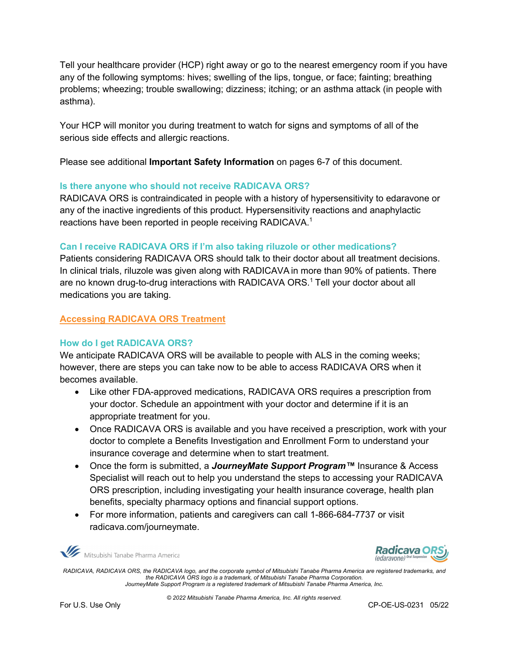Tell your healthcare provider (HCP) right away or go to the nearest emergency room if you have any of the following symptoms: hives; swelling of the lips, tongue, or face; fainting; breathing problems; wheezing; trouble swallowing; dizziness; itching; or an asthma attack (in people with asthma).

Your HCP will monitor you during treatment to watch for signs and symptoms of all of the serious side effects and allergic reactions.

Please see additional **Important Safety Information** on pages 6-7 of this document.

# **Is there anyone who should not receive RADICAVA ORS?**

RADICAVA ORS is contraindicated in people with a history of hypersensitivity to edaravone or any of the inactive ingredients of this product. Hypersensitivity reactions and anaphylactic reactions have been reported in people receiving RADICAVA.<sup>1</sup>

# **Can I receive RADICAVA ORS if I'm also taking riluzole or other medications?**

Patients considering RADICAVA ORS should talk to their doctor about all treatment decisions. In clinical trials, riluzole was given along with RADICAVA in more than 90% of patients. There are no known drug-to-drug interactions with RADICAVA ORS.<sup>1</sup> Tell your doctor about all medications you are taking.

# **Accessing RADICAVA ORS Treatment**

## **How do I get RADICAVA ORS?**

We anticipate RADICAVA ORS will be available to people with ALS in the coming weeks; however, there are steps you can take now to be able to access RADICAVA ORS when it becomes available.

- Like other FDA-approved medications, RADICAVA ORS requires a prescription from your doctor. Schedule an appointment with your doctor and determine if it is an appropriate treatment for you.
- Once RADICAVA ORS is available and you have received a prescription, work with your doctor to complete a Benefits Investigation and Enrollment Form to understand your insurance coverage and determine when to start treatment.
- Once the form is submitted, a *JourneyMate Support Program™* Insurance & Access Specialist will reach out to help you understand the steps to accessing your RADICAVA ORS prescription, including investigating your health insurance coverage, health plan benefits, specialty pharmacy options and financial support options.
- For more information, patients and caregivers can call 1-866-684-7737 or visit radicava.com/journeymate.

Mitsubishi Tanabe Pharma America



*RADICAVA, RADICAVA ORS, the RADICAVA logo, and the corporate symbol of Mitsubishi Tanabe Pharma America are registered trademarks, and the RADICAVA ORS logo is a trademark, of Mitsubishi Tanabe Pharma Corporation. JourneyMate Support Program is a registered trademark of Mitsubishi Tanabe Pharma America, Inc.*

*© 2022 Mitsubishi Tanabe Pharma America, Inc. All rights reserved.*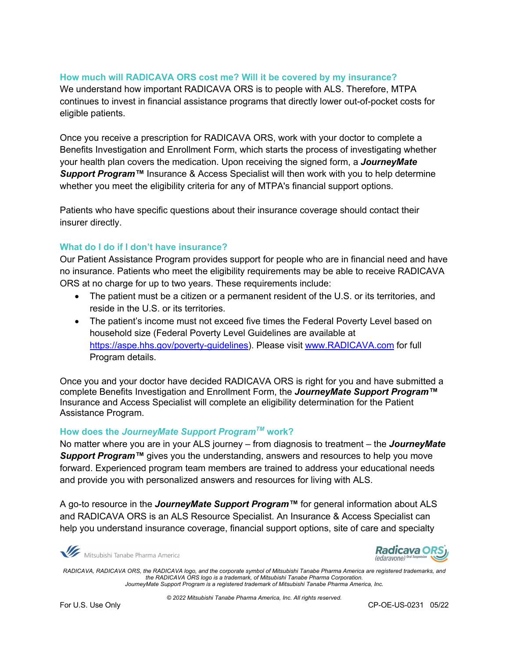## **How much will RADICAVA ORS cost me? Will it be covered by my insurance?**

We understand how important RADICAVA ORS is to people with ALS. Therefore, MTPA continues to invest in financial assistance programs that directly lower out-of-pocket costs for eligible patients.

Once you receive a prescription for RADICAVA ORS, work with your doctor to complete a Benefits Investigation and Enrollment Form, which starts the process of investigating whether your health plan covers the medication. Upon receiving the signed form, a *JourneyMate*  Support Program<sup>™</sup> Insurance & Access Specialist will then work with you to help determine whether you meet the eligibility criteria for any of MTPA's financial support options.

Patients who have specific questions about their insurance coverage should contact their insurer directly.

# **What do I do if I don't have insurance?**

Our Patient Assistance Program provides support for people who are in financial need and have no insurance. Patients who meet the eligibility requirements may be able to receive RADICAVA ORS at no charge for up to two years. These requirements include:

- The patient must be a citizen or a permanent resident of the U.S. or its territories, and reside in the U.S. or its territories.
- The patient's income must not exceed five times the Federal Poverty Level based on household size (Federal Poverty Level Guidelines are available at https://aspe.hhs.gov/poverty-guidelines). Please visit www.RADICAVA.com for full Program details.

Once you and your doctor have decided RADICAVA ORS is right for you and have submitted a complete Benefits Investigation and Enrollment Form, the *JourneyMate Support Program™*  Insurance and Access Specialist will complete an eligibility determination for the Patient Assistance Program.

## **How does the** *JourneyMate Support ProgramTM* **work?**

No matter where you are in your ALS journey – from diagnosis to treatment – the *JourneyMate Support Program™* gives you the understanding, answers and resources to help you move forward. Experienced program team members are trained to address your educational needs and provide you with personalized answers and resources for living with ALS.

A go-to resource in the *JourneyMate Support Program™* for general information about ALS and RADICAVA ORS is an ALS Resource Specialist. An Insurance & Access Specialist can help you understand insurance coverage, financial support options, site of care and specialty

Mitsubishi Tanabe Pharma America



*RADICAVA, RADICAVA ORS, the RADICAVA logo, and the corporate symbol of Mitsubishi Tanabe Pharma America are registered trademarks, and the RADICAVA ORS logo is a trademark, of Mitsubishi Tanabe Pharma Corporation. JourneyMate Support Program is a registered trademark of Mitsubishi Tanabe Pharma America, Inc.*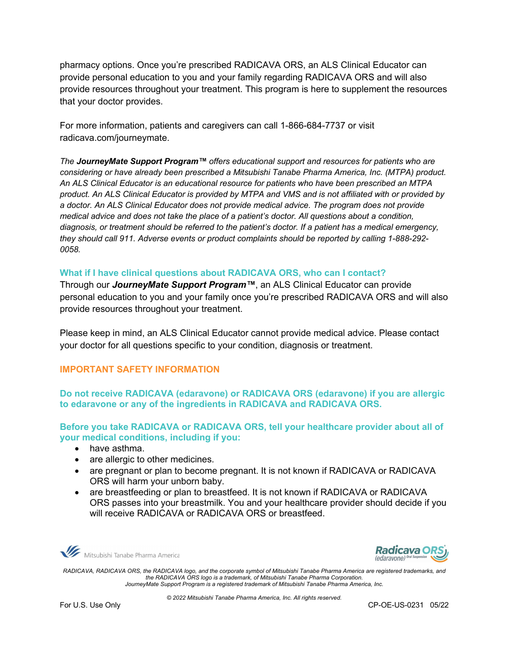pharmacy options. Once you're prescribed RADICAVA ORS, an ALS Clinical Educator can provide personal education to you and your family regarding RADICAVA ORS and will also provide resources throughout your treatment. This program is here to supplement the resources that your doctor provides.

For more information, patients and caregivers can call 1-866-684-7737 or visit radicava.com/journeymate.

*The JourneyMate Support Program™ offers educational support and resources for patients who are considering or have already been prescribed a Mitsubishi Tanabe Pharma America, Inc. (MTPA) product. An ALS Clinical Educator is an educational resource for patients who have been prescribed an MTPA product. An ALS Clinical Educator is provided by MTPA and VMS and is not affiliated with or provided by a doctor. An ALS Clinical Educator does not provide medical advice. The program does not provide medical advice and does not take the place of a patient's doctor. All questions about a condition, diagnosis, or treatment should be referred to the patient's doctor. If a patient has a medical emergency, they should call 911. Adverse events or product complaints should be reported by calling 1-888-292- 0058.*

## **What if I have clinical questions about RADICAVA ORS, who can I contact?**

Through our *JourneyMate Support Program™*, an ALS Clinical Educator can provide personal education to you and your family once you're prescribed RADICAVA ORS and will also provide resources throughout your treatment.

Please keep in mind, an ALS Clinical Educator cannot provide medical advice. Please contact your doctor for all questions specific to your condition, diagnosis or treatment.

## **IMPORTANT SAFETY INFORMATION**

**Do not receive RADICAVA (edaravone) or RADICAVA ORS (edaravone) if you are allergic to edaravone or any of the ingredients in RADICAVA and RADICAVA ORS.**

**Before you take RADICAVA or RADICAVA ORS, tell your healthcare provider about all of your medical conditions, including if you:**

- have asthma.
- are allergic to other medicines.
- are pregnant or plan to become pregnant. It is not known if RADICAVA or RADICAVA ORS will harm your unborn baby.
- are breastfeeding or plan to breastfeed. It is not known if RADICAVA or RADICAVA ORS passes into your breastmilk. You and your healthcare provider should decide if you will receive RADICAVA or RADICAVA ORS or breastfeed.

Mitsubishi Tanabe Pharma America



*RADICAVA, RADICAVA ORS, the RADICAVA logo, and the corporate symbol of Mitsubishi Tanabe Pharma America are registered trademarks, and the RADICAVA ORS logo is a trademark, of Mitsubishi Tanabe Pharma Corporation. JourneyMate Support Program is a registered trademark of Mitsubishi Tanabe Pharma America, Inc.*

*© 2022 Mitsubishi Tanabe Pharma America, Inc. All rights reserved.*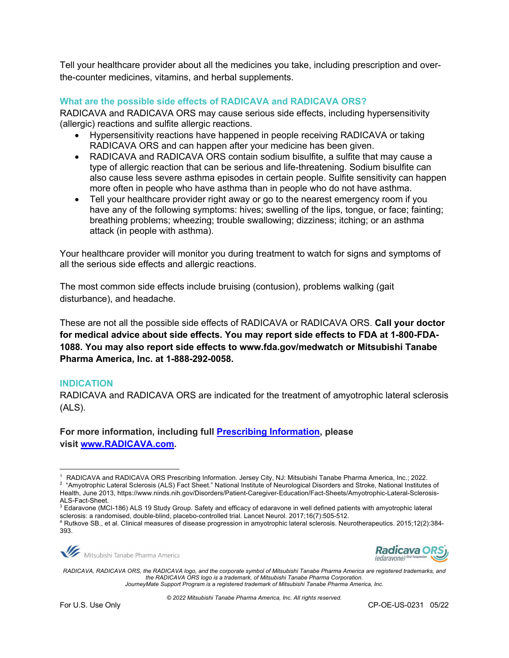Tell your healthcare provider about all the medicines you take, including prescription and overthe-counter medicines, vitamins, and herbal supplements.

#### **What are the possible side effects of RADICAVA and RADICAVA ORS?**

RADICAVA and RADICAVA ORS may cause serious side effects, including hypersensitivity (allergic) reactions and sulfite allergic reactions.

- Hypersensitivity reactions have happened in people receiving RADICAVA or taking RADICAVA ORS and can happen after your medicine has been given.
- RADICAVA and RADICAVA ORS contain sodium bisulfite, a sulfite that may cause a type of allergic reaction that can be serious and life-threatening. Sodium bisulfite can also cause less severe asthma episodes in certain people. Sulfite sensitivity can happen more often in people who have asthma than in people who do not have asthma.
- Tell your healthcare provider right away or go to the nearest emergency room if you have any of the following symptoms: hives; swelling of the lips, tongue, or face; fainting; breathing problems; wheezing; trouble swallowing; dizziness; itching; or an asthma attack (in people with asthma).

Your healthcare provider will monitor you during treatment to watch for signs and symptoms of all the serious side effects and allergic reactions.

The most common side effects include bruising (contusion), problems walking (gait disturbance), and headache.

These are not all the possible side effects of RADICAVA or RADICAVA ORS. **Call your doctor for medical advice about side effects. You may report side effects to FDA at 1-800-FDA-1088. You may also report side effects to www.fda.gov/medwatch or Mitsubishi Tanabe Pharma America, Inc. at 1-888-292-0058.**

#### **INDICATION**

RADICAVA and RADICAVA ORS are indicated for the treatment of amyotrophic lateral sclerosis (ALS).

**For more information, including full Prescribing Information, please visit www.RADICAVA.com.** 

<sup>4</sup> Rutkove SB., et al. Clinical measures of disease progression in amyotrophic lateral sclerosis. Neurotherapeutics. 2015;12(2):384- 393.





*RADICAVA, RADICAVA ORS, the RADICAVA logo, and the corporate symbol of Mitsubishi Tanabe Pharma America are registered trademarks, and the RADICAVA ORS logo is a trademark, of Mitsubishi Tanabe Pharma Corporation. JourneyMate Support Program is a registered trademark of Mitsubishi Tanabe Pharma America, Inc.*

<sup>1</sup> RADICAVA and RADICAVA ORS Prescribing Information. Jersey City, NJ: Mitsubishi Tanabe Pharma America, Inc.; 2022.

<sup>2</sup> "Amyotrophic Lateral Sclerosis (ALS) Fact Sheet." National Institute of Neurological Disorders and Stroke, National Institutes of Health, June 2013, https://www.ninds.nih.gov/Disorders/Patient-Caregiver-Education/Fact-Sheets/Amyotrophic-Lateral-Sclerosis-ALS-Fact-Sheet.

<sup>3</sup> Edaravone (MCI-186) ALS 19 Study Group. Safety and efficacy of edaravone in well defined patients with amyotrophic lateral sclerosis: a randomised, double-blind, placebo-controlled trial. Lancet Neurol. 2017;16(7):505-512.